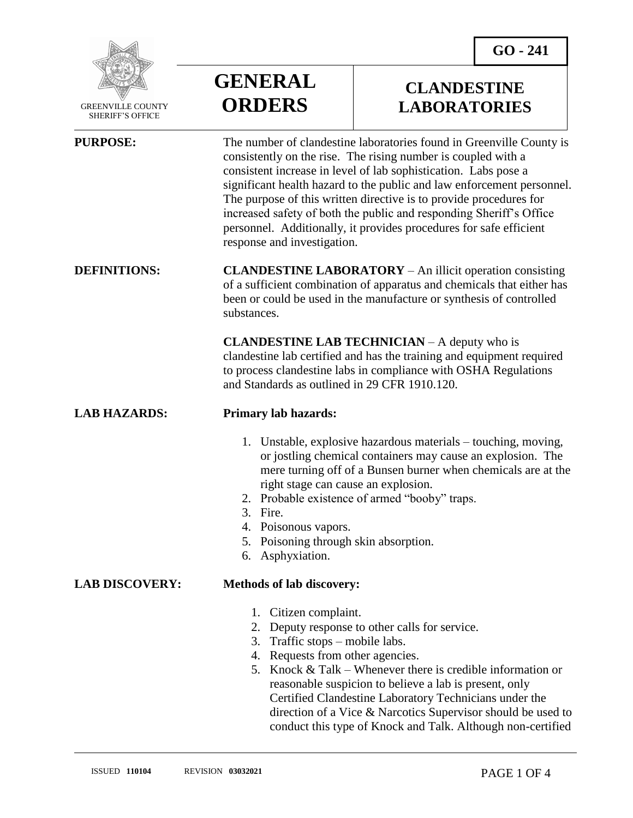

 GREENVILLE COUNTY SHERIFF'S OFFICE

**GENERAL ORDERS**

## **CLANDESTINE LABORATORIES**

| <b>PURPOSE:</b>       | The number of clandestine laboratories found in Greenville County is<br>consistently on the rise. The rising number is coupled with a<br>consistent increase in level of lab sophistication. Labs pose a<br>significant health hazard to the public and law enforcement personnel.<br>The purpose of this written directive is to provide procedures for<br>increased safety of both the public and responding Sheriff's Office<br>personnel. Additionally, it provides procedures for safe efficient<br>response and investigation. |
|-----------------------|--------------------------------------------------------------------------------------------------------------------------------------------------------------------------------------------------------------------------------------------------------------------------------------------------------------------------------------------------------------------------------------------------------------------------------------------------------------------------------------------------------------------------------------|
| <b>DEFINITIONS:</b>   | <b>CLANDESTINE LABORATORY</b> – An illicit operation consisting<br>of a sufficient combination of apparatus and chemicals that either has<br>been or could be used in the manufacture or synthesis of controlled<br>substances.                                                                                                                                                                                                                                                                                                      |
|                       | <b>CLANDESTINE LAB TECHNICIAN</b> – A deputy who is<br>clandestine lab certified and has the training and equipment required<br>to process clandestine labs in compliance with OSHA Regulations<br>and Standards as outlined in 29 CFR 1910.120.                                                                                                                                                                                                                                                                                     |
| <b>LAB HAZARDS:</b>   | <b>Primary lab hazards:</b>                                                                                                                                                                                                                                                                                                                                                                                                                                                                                                          |
|                       | 1. Unstable, explosive hazardous materials – touching, moving,<br>or jostling chemical containers may cause an explosion. The<br>mere turning off of a Bunsen burner when chemicals are at the<br>right stage can cause an explosion.<br>2. Probable existence of armed "booby" traps.<br>3. Fire.<br>4. Poisonous vapors.<br>Poisoning through skin absorption.<br>5.<br>Asphyxiation.<br>6.                                                                                                                                        |
| <b>LAB DISCOVERY:</b> | <b>Methods of lab discovery:</b>                                                                                                                                                                                                                                                                                                                                                                                                                                                                                                     |
|                       | 1. Citizen complaint.<br>2.<br>Deputy response to other calls for service.<br>3. Traffic stops – mobile labs.<br>4. Requests from other agencies.<br>5. Knock & Talk – Whenever there is credible information or<br>reasonable suspicion to believe a lab is present, only<br>Certified Clandestine Laboratory Technicians under the<br>direction of a Vice & Narcotics Supervisor should be used to                                                                                                                                 |

conduct this type of Knock and Talk. Although non-certified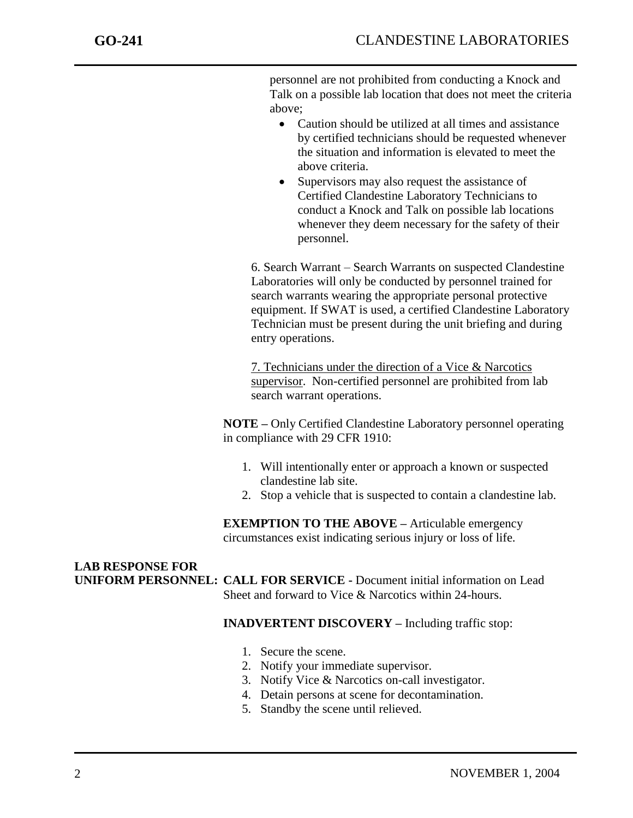personnel are not prohibited from conducting a Knock and Talk on a possible lab location that does not meet the criteria above;

- Caution should be utilized at all times and assistance by certified technicians should be requested whenever the situation and information is elevated to meet the above criteria.
- Supervisors may also request the assistance of Certified Clandestine Laboratory Technicians to conduct a Knock and Talk on possible lab locations whenever they deem necessary for the safety of their personnel.

6. Search Warrant – Search Warrants on suspected Clandestine Laboratories will only be conducted by personnel trained for search warrants wearing the appropriate personal protective equipment. If SWAT is used, a certified Clandestine Laboratory Technician must be present during the unit briefing and during entry operations.

7. Technicians under the direction of a Vice & Narcotics supervisor. Non-certified personnel are prohibited from lab search warrant operations.

**NOTE –** Only Certified Clandestine Laboratory personnel operating in compliance with 29 CFR 1910:

- 1. Will intentionally enter or approach a known or suspected clandestine lab site.
- 2. Stop a vehicle that is suspected to contain a clandestine lab.

**EXEMPTION TO THE ABOVE –** Articulable emergency circumstances exist indicating serious injury or loss of life.

#### **LAB RESPONSE FOR UNIFORM PERSONNEL: CALL FOR SERVICE -** Document initial information on Lead Sheet and forward to Vice & Narcotics within 24-hours.

### **INADVERTENT DISCOVERY –** Including traffic stop:

- 1. Secure the scene.
- 2. Notify your immediate supervisor.
- 3. Notify Vice & Narcotics on-call investigator.
- 4. Detain persons at scene for decontamination.
- 5. Standby the scene until relieved.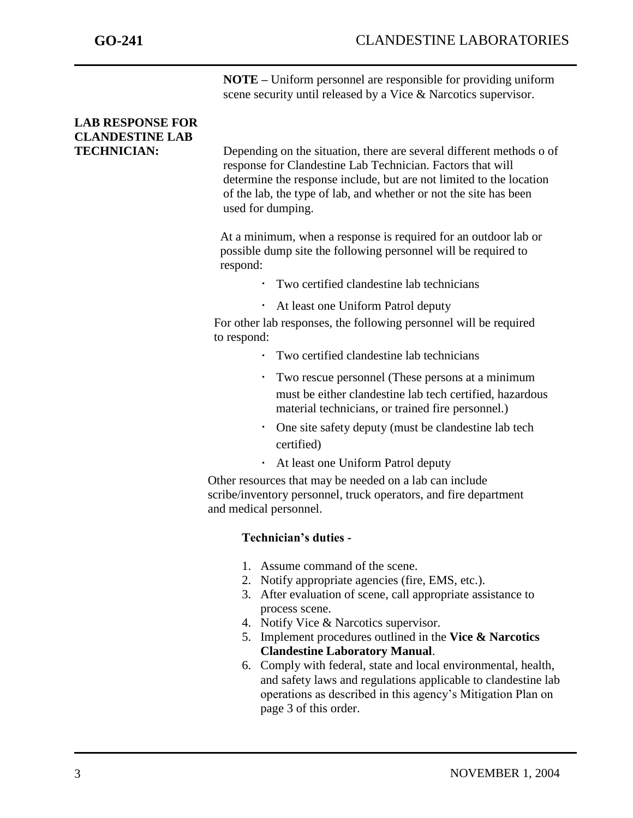**NOTE –** Uniform personnel are responsible for providing uniform scene security until released by a Vice & Narcotics supervisor.

# **LAB RESPONSE FOR CLANDESTINE LAB**

**TECHNICIAN:** Depending on the situation, there are several different methods o of response for Clandestine Lab Technician. Factors that will determine the response include, but are not limited to the location of the lab, the type of lab, and whether or not the site has been used for dumping.

> At a minimum, when a response is required for an outdoor lab or possible dump site the following personnel will be required to respond:

- Two certified clandestine lab technicians
- At least one Uniform Patrol deputy

 For other lab responses, the following personnel will be required to respond:

- Two certified clandestine lab technicians
- Two rescue personnel (These persons at a minimum must be either clandestine lab tech certified, hazardous material technicians, or trained fire personnel.)
- One site safety deputy (must be clandestine lab tech certified)
- At least one Uniform Patrol deputy

 Other resources that may be needed on a lab can include scribe/inventory personnel, truck operators, and fire department and medical personnel.

## **Technician's duties -**

- 1. Assume command of the scene.
- 2. Notify appropriate agencies (fire, EMS, etc.).
- 3. After evaluation of scene, call appropriate assistance to process scene.
- 4. Notify Vice & Narcotics supervisor.
- 5. Implement procedures outlined in the **Vice & Narcotics Clandestine Laboratory Manual**.
- 6. Comply with federal, state and local environmental, health, and safety laws and regulations applicable to clandestine lab operations as described in this agency's Mitigation Plan on page 3 of this order.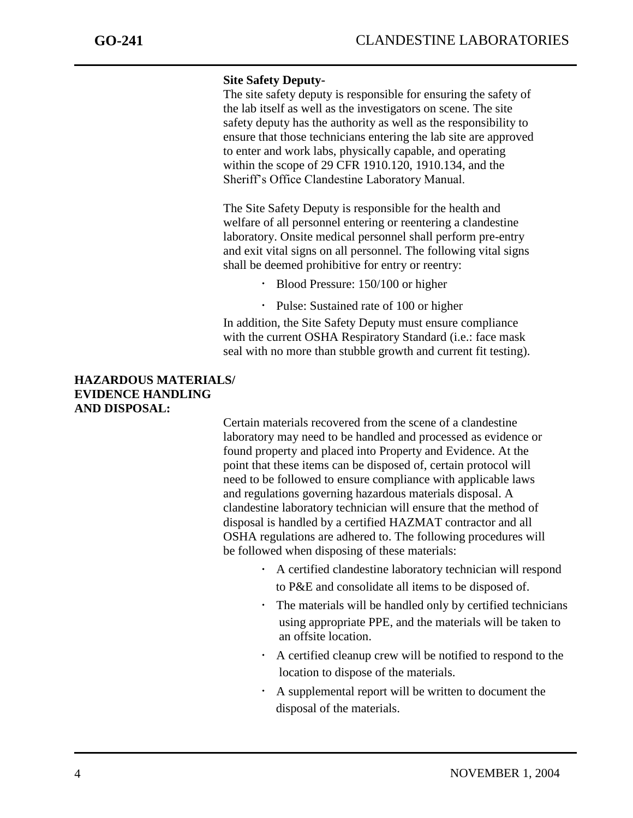### **Site Safety Deputy-**

The site safety deputy is responsible for ensuring the safety of the lab itself as well as the investigators on scene. The site safety deputy has the authority as well as the responsibility to ensure that those technicians entering the lab site are approved to enter and work labs, physically capable, and operating within the scope of 29 CFR 1910.120, 1910.134, and the Sheriff's Office Clandestine Laboratory Manual.

The Site Safety Deputy is responsible for the health and welfare of all personnel entering or reentering a clandestine laboratory. Onsite medical personnel shall perform pre-entry and exit vital signs on all personnel. The following vital signs shall be deemed prohibitive for entry or reentry:

- Blood Pressure: 150/100 or higher
- Pulse: Sustained rate of 100 or higher

In addition, the Site Safety Deputy must ensure compliance with the current OSHA Respiratory Standard (i.e.: face mask seal with no more than stubble growth and current fit testing).

### **HAZARDOUS MATERIALS/ EVIDENCE HANDLING AND DISPOSAL:**

Certain materials recovered from the scene of a clandestine laboratory may need to be handled and processed as evidence or found property and placed into Property and Evidence. At the point that these items can be disposed of, certain protocol will need to be followed to ensure compliance with applicable laws and regulations governing hazardous materials disposal. A clandestine laboratory technician will ensure that the method of disposal is handled by a certified HAZMAT contractor and all OSHA regulations are adhered to. The following procedures will be followed when disposing of these materials:

- A certified clandestine laboratory technician will respond to P&E and consolidate all items to be disposed of.
- The materials will be handled only by certified technicians using appropriate PPE, and the materials will be taken to an offsite location.
- A certified cleanup crew will be notified to respond to the location to dispose of the materials.
- A supplemental report will be written to document the disposal of the materials.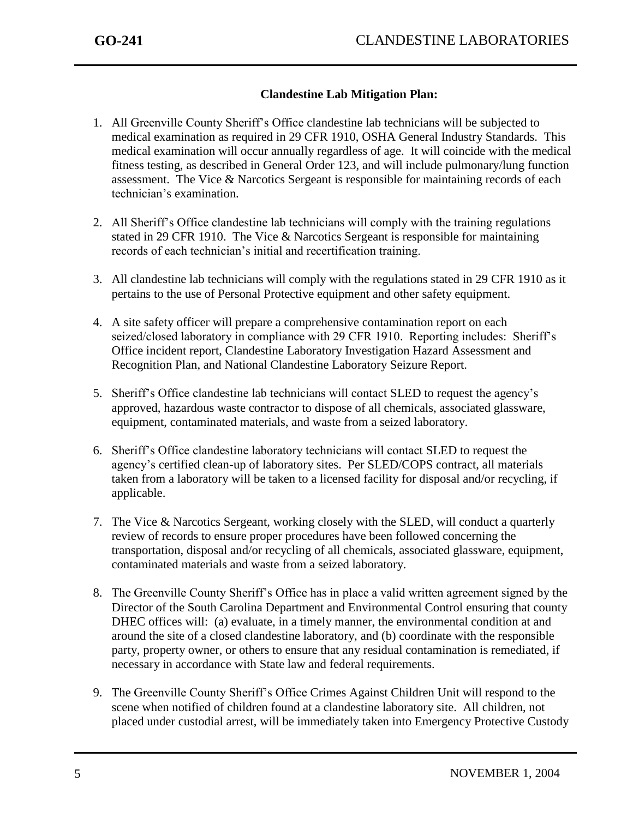## **Clandestine Lab Mitigation Plan:**

- 1. All Greenville County Sheriff's Office clandestine lab technicians will be subjected to medical examination as required in 29 CFR 1910, OSHA General Industry Standards. This medical examination will occur annually regardless of age. It will coincide with the medical fitness testing, as described in General Order 123, and will include pulmonary/lung function assessment. The Vice & Narcotics Sergeant is responsible for maintaining records of each technician's examination.
- 2. All Sheriff's Office clandestine lab technicians will comply with the training regulations stated in 29 CFR 1910. The Vice  $\&$  Narcotics Sergeant is responsible for maintaining records of each technician's initial and recertification training.
- 3. All clandestine lab technicians will comply with the regulations stated in 29 CFR 1910 as it pertains to the use of Personal Protective equipment and other safety equipment.
- 4. A site safety officer will prepare a comprehensive contamination report on each seized/closed laboratory in compliance with 29 CFR 1910. Reporting includes: Sheriff's Office incident report, Clandestine Laboratory Investigation Hazard Assessment and Recognition Plan, and National Clandestine Laboratory Seizure Report.
- 5. Sheriff's Office clandestine lab technicians will contact SLED to request the agency's approved, hazardous waste contractor to dispose of all chemicals, associated glassware, equipment, contaminated materials, and waste from a seized laboratory.
- 6. Sheriff's Office clandestine laboratory technicians will contact SLED to request the agency's certified clean-up of laboratory sites. Per SLED/COPS contract, all materials taken from a laboratory will be taken to a licensed facility for disposal and/or recycling, if applicable.
- 7. The Vice & Narcotics Sergeant, working closely with the SLED, will conduct a quarterly review of records to ensure proper procedures have been followed concerning the transportation, disposal and/or recycling of all chemicals, associated glassware, equipment, contaminated materials and waste from a seized laboratory.
- 8. The Greenville County Sheriff's Office has in place a valid written agreement signed by the Director of the South Carolina Department and Environmental Control ensuring that county DHEC offices will: (a) evaluate, in a timely manner, the environmental condition at and around the site of a closed clandestine laboratory, and (b) coordinate with the responsible party, property owner, or others to ensure that any residual contamination is remediated, if necessary in accordance with State law and federal requirements.
- 9. The Greenville County Sheriff's Office Crimes Against Children Unit will respond to the scene when notified of children found at a clandestine laboratory site. All children, not placed under custodial arrest, will be immediately taken into Emergency Protective Custody